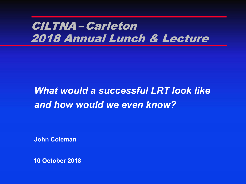# CILTNA – Carleton 2018 Annual Lunch & Lecture

# *What would a successful LRT look like and how would we even know?*

**John Coleman**

**10 October 2018**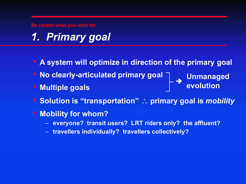*Be careful what you wish for*

# *1. Primary goal*

- **A system will optimize in direction of the primary goal**
- **No clearly-articulated primary goal**
- **Multiple goals**

**Unmanaged evolution** <sup>è</sup>

- **Solution is "transportation"** \ **primary goal is** *mobility*
- **Mobility for whom?**
	- **everyone? transit users? LRT riders only? the affluent?**
	- **travellers individually? travellers collectively?**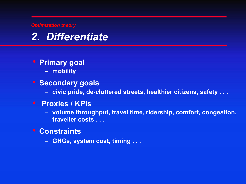*Optimization theory*



## • **Primary goal**

– **mobility**

## • **Secondary goals**

– **civic pride, de-cluttered streets, healthier citizens, safety . . .**

## • **Proxies / KPIs**

- **volume throughput, travel time, ridership, comfort, congestion, traveller costs . . .**
- **Constraints**
	- **GHGs, system cost, timing . . .**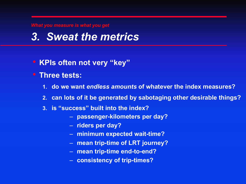*What you measure is what you get*

## *3. Sweat the metrics*

- **KPIs often not very "key"**
- **Three tests:**
	- **1. do we want** *endless amounts* **of whatever the index measures?**
	- **2. can lots of it be generated by sabotaging other desirable things?**
	- **3. is "success" built into the index?**
		- **passenger-kilometers per day?**
		- **riders per day?**
		- **minimum expected wait-time?**
		- **mean trip-time of LRT journey?**
		- **mean trip-time end-to-end?**
		- **consistency of trip-times?**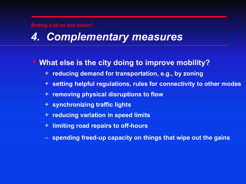#### *Betting it all on one horse?*

## *4. Complementary measures*

## • **What else is the city doing to improve mobility?**

- + **reducing demand for transportation, e.g., by zoning**
- + **setting helpful regulations, rules for connectivity to other modes**
- + **removing physical disruptions to flow**
- + **synchronizing traffic lights**
- + **reducing variation in speed limits**
- + **limiting road repairs to off-hours**
- **spending freed-up capacity on things that wipe out the gains**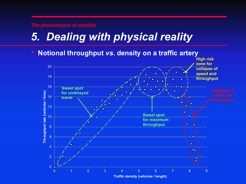#### *The phenomenon of mobility*

# *5. Dealing with physical reality*

### • **Notional throughput** *vs***. density on a traffic artery**

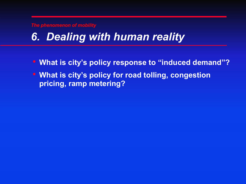*The phenomenon of mobility*

# *6. Dealing with human reality*

- **What is city's policy response to "induced demand"?**
- **What is city's policy for road tolling, congestion pricing, ramp metering?**